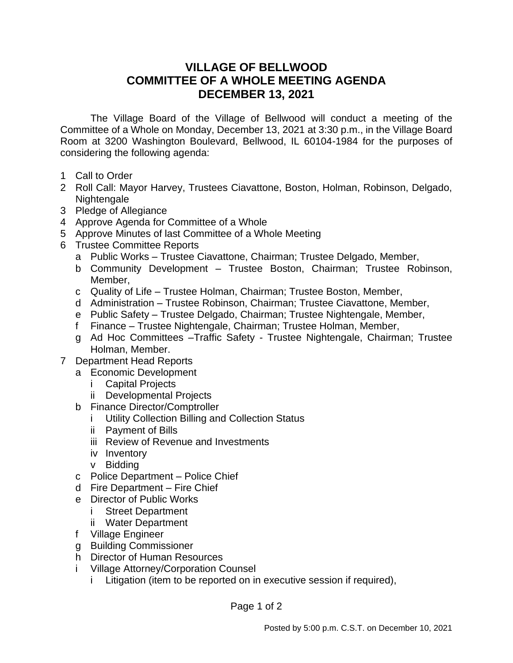## **VILLAGE OF BELLWOOD COMMITTEE OF A WHOLE MEETING AGENDA DECEMBER 13, 2021**

The Village Board of the Village of Bellwood will conduct a meeting of the Committee of a Whole on Monday, December 13, 2021 at 3:30 p.m., in the Village Board Room at 3200 Washington Boulevard, Bellwood, IL 60104-1984 for the purposes of considering the following agenda:

- 1 Call to Order
- 2 Roll Call: Mayor Harvey, Trustees Ciavattone, Boston, Holman, Robinson, Delgado, Nightengale
- 3 Pledge of Allegiance
- 4 Approve Agenda for Committee of a Whole
- 5 Approve Minutes of last Committee of a Whole Meeting
- 6 Trustee Committee Reports
	- a Public Works Trustee Ciavattone, Chairman; Trustee Delgado, Member,
	- b Community Development Trustee Boston, Chairman; Trustee Robinson, Member,
	- c Quality of Life Trustee Holman, Chairman; Trustee Boston, Member,
	- d Administration Trustee Robinson, Chairman; Trustee Ciavattone, Member,
	- e Public Safety Trustee Delgado, Chairman; Trustee Nightengale, Member,
	- f Finance Trustee Nightengale, Chairman; Trustee Holman, Member,
	- g Ad Hoc Committees –Traffic Safety Trustee Nightengale, Chairman; Trustee Holman, Member.
- 7 Department Head Reports
	- a Economic Development
		- i Capital Projects
		- ii Developmental Projects
	- b Finance Director/Comptroller
		- i Utility Collection Billing and Collection Status
		- ii Payment of Bills
		- iii Review of Revenue and Investments
		- iv Inventory
		- v Bidding
	- c Police Department Police Chief
	- d Fire Department Fire Chief
	- e Director of Public Works
		- i Street Department
		- ii Water Department
	- f Village Engineer
	- g Building Commissioner
	- h Director of Human Resources
	- i Village Attorney/Corporation Counsel
		- i Litigation (item to be reported on in executive session if required),